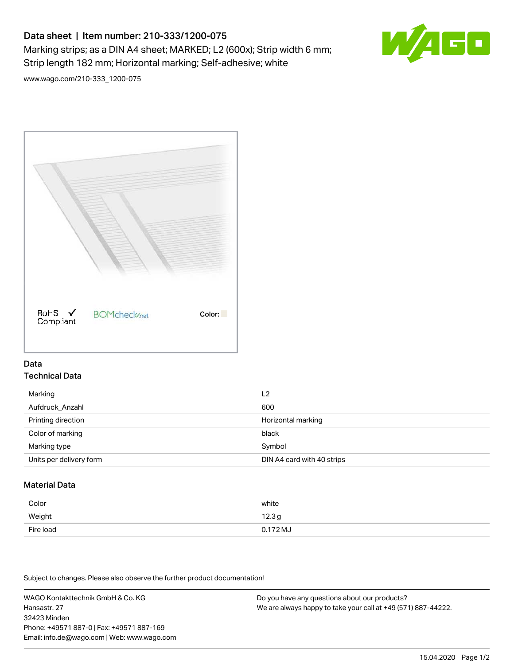# Data sheet | Item number: 210-333/1200-075 Marking strips; as a DIN A4 sheet; MARKED; L2 (600x); Strip width 6 mm; Strip length 182 mm; Horizontal marking; Self-adhesive; white



[www.wago.com/210-333\\_1200-075](http://www.wago.com/210-333_1200-075)



#### Data Technical Data

| Marking                 | L2                         |
|-------------------------|----------------------------|
| Aufdruck Anzahl         | 600                        |
| Printing direction      | Horizontal marking         |
| Color of marking        | black                      |
| Marking type            | Symbol                     |
| Units per delivery form | DIN A4 card with 40 strips |

## Material Data

| Color     | white               |
|-----------|---------------------|
| Weight    | 12.3g               |
| Fire load | $0.172 \mathrm{MJ}$ |

Subject to changes. Please also observe the further product documentation!

WAGO Kontakttechnik GmbH & Co. KG Hansastr. 27 32423 Minden Phone: +49571 887-0 | Fax: +49571 887-169 Email: info.de@wago.com | Web: www.wago.com

Do you have any questions about our products? We are always happy to take your call at +49 (571) 887-44222.